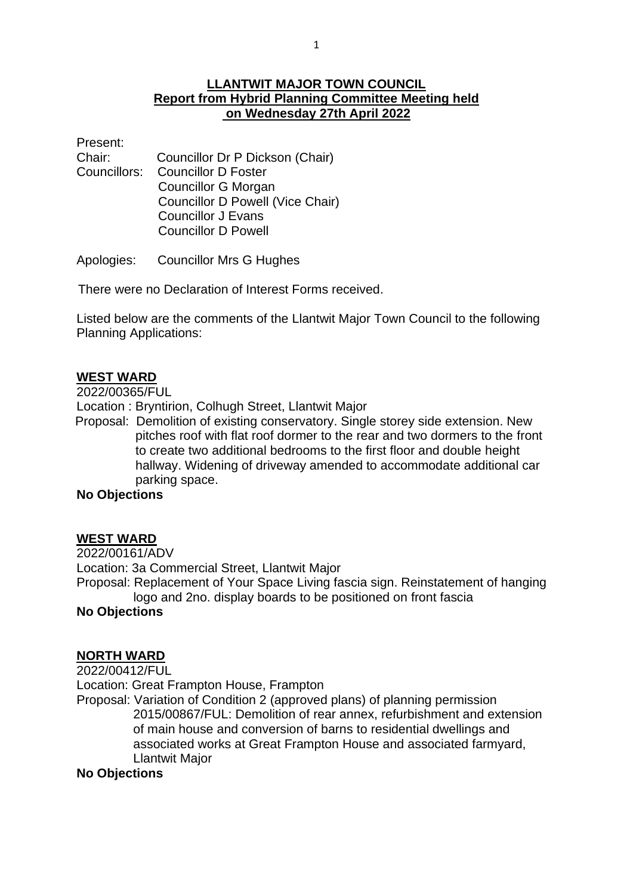## **LLANTWIT MAJOR TOWN COUNCIL Report from Hybrid Planning Committee Meeting held on Wednesday 27th April 2022**

Present:

Chair: Councillor Dr P Dickson (Chair) Councillors: Councillor D Foster Councillor G Morgan Councillor D Powell (Vice Chair) Councillor J Evans Councillor D Powell

Apologies: Councillor Mrs G Hughes

There were no Declaration of Interest Forms received.

Listed below are the comments of the Llantwit Major Town Council to the following Planning Applications:

### **WEST WARD**

2022/00365/FUL

Location : Bryntirion, Colhugh Street, Llantwit Major

 Proposal: Demolition of existing conservatory. Single storey side extension. New pitches roof with flat roof dormer to the rear and two dormers to the front to create two additional bedrooms to the first floor and double height hallway. Widening of driveway amended to accommodate additional car parking space.

### **No Objections**

#### **WEST WARD**

2022/00161/ADV

Location: 3a Commercial Street, Llantwit Major

Proposal: Replacement of Your Space Living fascia sign. Reinstatement of hanging logo and 2no. display boards to be positioned on front fascia

### **No Objections**

## **NORTH WARD**

#### 2022/00412/FUL

Location: Great Frampton House, Frampton

Proposal: Variation of Condition 2 (approved plans) of planning permission 2015/00867/FUL: Demolition of rear annex, refurbishment and extension of main house and conversion of barns to residential dwellings and associated works at Great Frampton House and associated farmyard, Llantwit Major

#### **No Objections**